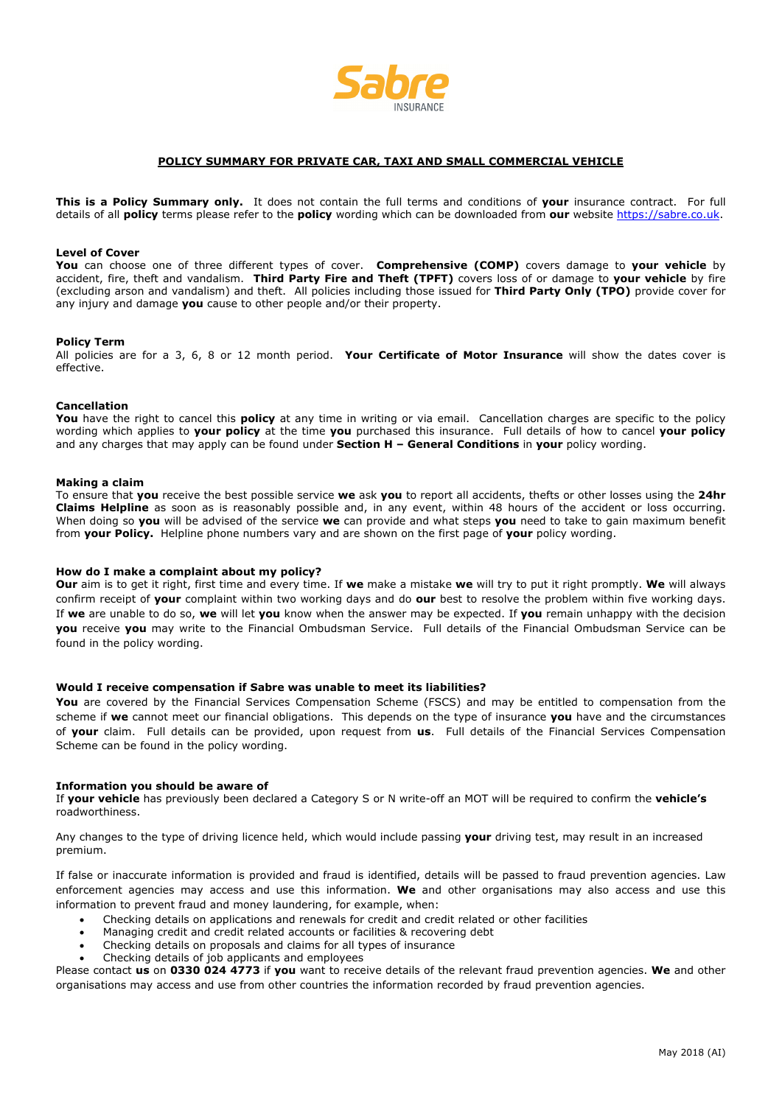

## **POLICY SUMMARY FOR PRIVATE CAR, TAXI AND SMALL COMMERCIAL VEHICLE**

**This is a Policy Summary only.** It does not contain the full terms and conditions of **your** insurance contract. For full details of all **policy** terms please refer to the **policy** wording which can be downloaded from **our** website https://sabre.co.uk.

## **Level of Cover**

**You** can choose one of three different types of cover. **Comprehensive (COMP)** covers damage to **your vehicle** by accident, fire, theft and vandalism. **Third Party Fire and Theft (TPFT)** covers loss of or damage to **your vehicle** by fire (excluding arson and vandalism) and theft. All policies including those issued for **Third Party Only (TPO)** provide cover for any injury and damage **you** cause to other people and/or their property.

### **Policy Term**

All policies are for a 3, 6, 8 or 12 month period. **Your Certificate of Motor Insurance** will show the dates cover is effective.

#### **Cancellation**

**You** have the right to cancel this **policy** at any time in writing or via email. Cancellation charges are specific to the policy wording which applies to **your policy** at the time **you** purchased this insurance. Full details of how to cancel **your policy** and any charges that may apply can be found under **Section H – General Conditions** in **your** policy wording.

### **Making a claim**

To ensure that **you** receive the best possible service **we** ask **you** to report all accidents, thefts or other losses using the **24hr Claims Helpline** as soon as is reasonably possible and, in any event, within 48 hours of the accident or loss occurring. When doing so **you** will be advised of the service **we** can provide and what steps **you** need to take to gain maximum benefit from **your Policy.** Helpline phone numbers vary and are shown on the first page of **your** policy wording.

# **How do I make a complaint about my policy?**

**Our** aim is to get it right, first time and every time. If **we** make a mistake **we** will try to put it right promptly. **We** will always confirm receipt of **your** complaint within two working days and do **our** best to resolve the problem within five working days. If **we** are unable to do so, **we** will let **you** know when the answer may be expected. If **you** remain unhappy with the decision **you** receive **you** may write to the Financial Ombudsman Service. Full details of the Financial Ombudsman Service can be found in the policy wording.

### **Would I receive compensation if Sabre was unable to meet its liabilities?**

You are covered by the Financial Services Compensation Scheme (FSCS) and may be entitled to compensation from the scheme if **we** cannot meet our financial obligations. This depends on the type of insurance **you** have and the circumstances of **your** claim. Full details can be provided, upon request from **us**. Full details of the Financial Services Compensation Scheme can be found in the policy wording.

#### **Information you should be aware of**

If **your vehicle** has previously been declared a Category S or N write-off an MOT will be required to confirm the **vehicle's** roadworthiness.

Any changes to the type of driving licence held, which would include passing **your** driving test, may result in an increased premium.

If false or inaccurate information is provided and fraud is identified, details will be passed to fraud prevention agencies. Law enforcement agencies may access and use this information. **We** and other organisations may also access and use this information to prevent fraud and money laundering, for example, when:

- Checking details on applications and renewals for credit and credit related or other facilities
- Managing credit and credit related accounts or facilities & recovering debt
- Checking details on proposals and claims for all types of insurance
- Checking details of job applicants and employees

Please contact **us** on **0330 024 4773** if **you** want to receive details of the relevant fraud prevention agencies. **We** and other organisations may access and use from other countries the information recorded by fraud prevention agencies.